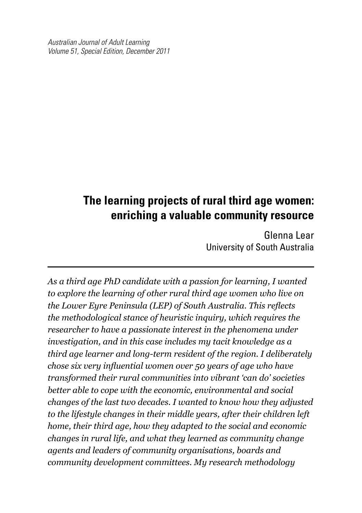*Australian Journal of Adult Learning Volume 51, Special Edition, December 2011*

## **The learning projects of rural third age women: enriching a valuable community resource**

Glenna Lear University of South Australia

*As a third age PhD candidate with a passion for learning, I wanted to explore the learning of other rural third age women who live on the Lower Eyre Peninsula (LEP) of South Australia. This reflects the methodological stance of heuristic inquiry, which requires the researcher to have a passionate interest in the phenomena under investigation, and in this case includes my tacit knowledge as a third age learner and long-term resident of the region. I deliberately chose six very influential women over 50 years of age who have transformed their rural communities into vibrant 'can do' societies better able to cope with the economic, environmental and social changes of the last two decades. I wanted to know how they adjusted to the lifestyle changes in their middle years, after their children left home, their third age, how they adapted to the social and economic changes in rural life, and what they learned as community change agents and leaders of community organisations, boards and community development committees. My research methodology*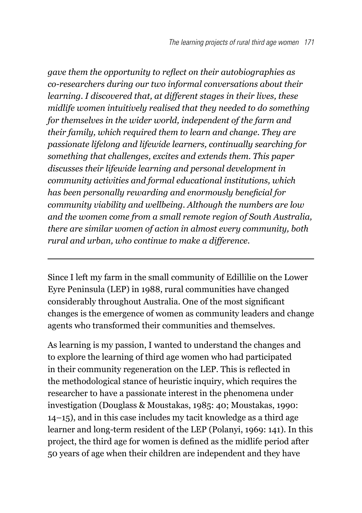*gave them the opportunity to reflect on their autobiographies as co-researchers during our two informal conversations about their learning. I discovered that, at different stages in their lives, these midlife women intuitively realised that they needed to do something for themselves in the wider world, independent of the farm and their family, which required them to learn and change. They are passionate lifelong and lifewide learners, continually searching for something that challenges, excites and extends them. This paper discusses their lifewide learning and personal development in community activities and formal educational institutions, which has been personally rewarding and enormously beneficial for community viability and wellbeing. Although the numbers are low and the women come from a small remote region of South Australia, there are similar women of action in almost every community, both rural and urban, who continue to make a difference.* 

Since I left my farm in the small community of Edillilie on the Lower Eyre Peninsula (LEP) in 1988, rural communities have changed considerably throughout Australia. One of the most significant changes is the emergence of women as community leaders and change agents who transformed their communities and themselves.

As learning is my passion, I wanted to understand the changes and to explore the learning of third age women who had participated in their community regeneration on the LEP. This is reflected in the methodological stance of heuristic inquiry, which requires the researcher to have a passionate interest in the phenomena under investigation (Douglass & Moustakas, 1985: 40; Moustakas, 1990: 14–15), and in this case includes my tacit knowledge as a third age learner and long-term resident of the LEP (Polanyi, 1969: 141). In this project, the third age for women is defined as the midlife period after 50 years of age when their children are independent and they have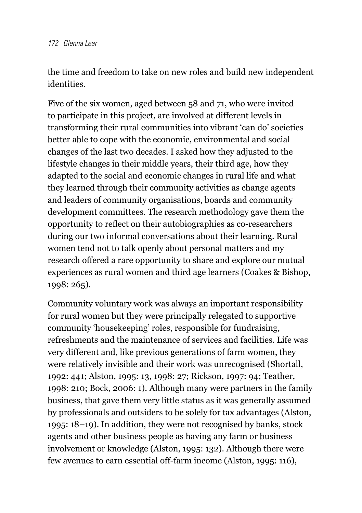the time and freedom to take on new roles and build new independent identities.

Five of the six women, aged between 58 and 71, who were invited to participate in this project, are involved at different levels in transforming their rural communities into vibrant 'can do' societies better able to cope with the economic, environmental and social changes of the last two decades. I asked how they adjusted to the lifestyle changes in their middle years, their third age, how they adapted to the social and economic changes in rural life and what they learned through their community activities as change agents and leaders of community organisations, boards and community development committees. The research methodology gave them the opportunity to reflect on their autobiographies as co-researchers during our two informal conversations about their learning. Rural women tend not to talk openly about personal matters and my research offered a rare opportunity to share and explore our mutual experiences as rural women and third age learners (Coakes & Bishop, 1998: 265).

Community voluntary work was always an important responsibility for rural women but they were principally relegated to supportive community 'housekeeping' roles, responsible for fundraising, refreshments and the maintenance of services and facilities. Life was very different and, like previous generations of farm women, they were relatively invisible and their work was unrecognised (Shortall, 1992: 441; Alston, 1995: 13, 1998: 27; Rickson, 1997: 94; Teather, 1998: 210; Bock, 2006: 1). Although many were partners in the family business, that gave them very little status as it was generally assumed by professionals and outsiders to be solely for tax advantages (Alston, 1995: 18–19). In addition, they were not recognised by banks, stock agents and other business people as having any farm or business involvement or knowledge (Alston, 1995: 132). Although there were few avenues to earn essential off-farm income (Alston, 1995: 116),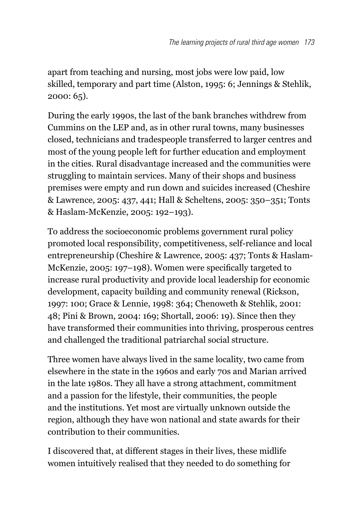apart from teaching and nursing, most jobs were low paid, low skilled, temporary and part time (Alston, 1995: 6; Jennings & Stehlik, 2000: 65).

During the early 1990s, the last of the bank branches withdrew from Cummins on the LEP and, as in other rural towns, many businesses closed, technicians and tradespeople transferred to larger centres and most of the young people left for further education and employment in the cities. Rural disadvantage increased and the communities were struggling to maintain services. Many of their shops and business premises were empty and run down and suicides increased (Cheshire & Lawrence, 2005: 437, 441; Hall & Scheltens, 2005: 350–351; Tonts & Haslam-McKenzie, 2005: 192–193).

To address the socioeconomic problems government rural policy promoted local responsibility, competitiveness, self-reliance and local entrepreneurship (Cheshire & Lawrence, 2005: 437; Tonts & Haslam-McKenzie, 2005: 197–198). Women were specifically targeted to increase rural productivity and provide local leadership for economic development, capacity building and community renewal (Rickson, 1997: 100; Grace & Lennie, 1998: 364; Chenoweth & Stehlik, 2001: 48; Pini & Brown, 2004: 169; Shortall, 2006: 19). Since then they have transformed their communities into thriving, prosperous centres and challenged the traditional patriarchal social structure.

Three women have always lived in the same locality, two came from elsewhere in the state in the 1960s and early 70s and Marian arrived in the late 1980s. They all have a strong attachment, commitment and a passion for the lifestyle, their communities, the people and the institutions. Yet most are virtually unknown outside the region, although they have won national and state awards for their contribution to their communities.

I discovered that, at different stages in their lives, these midlife women intuitively realised that they needed to do something for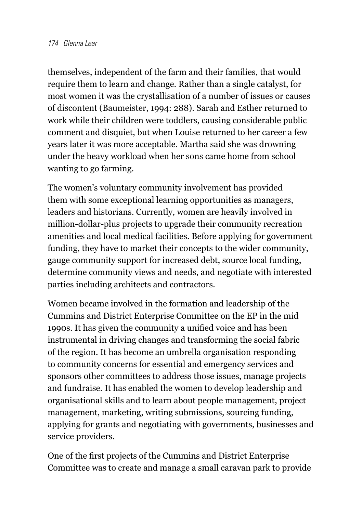themselves, independent of the farm and their families, that would require them to learn and change. Rather than a single catalyst, for most women it was the crystallisation of a number of issues or causes of discontent (Baumeister, 1994: 288). Sarah and Esther returned to work while their children were toddlers, causing considerable public comment and disquiet, but when Louise returned to her career a few years later it was more acceptable. Martha said she was drowning under the heavy workload when her sons came home from school wanting to go farming.

The women's voluntary community involvement has provided them with some exceptional learning opportunities as managers, leaders and historians. Currently, women are heavily involved in million-dollar-plus projects to upgrade their community recreation amenities and local medical facilities. Before applying for government funding, they have to market their concepts to the wider community, gauge community support for increased debt, source local funding, determine community views and needs, and negotiate with interested parties including architects and contractors.

Women became involved in the formation and leadership of the Cummins and District Enterprise Committee on the EP in the mid 1990s. It has given the community a unified voice and has been instrumental in driving changes and transforming the social fabric of the region. It has become an umbrella organisation responding to community concerns for essential and emergency services and sponsors other committees to address those issues, manage projects and fundraise. It has enabled the women to develop leadership and organisational skills and to learn about people management, project management, marketing, writing submissions, sourcing funding, applying for grants and negotiating with governments, businesses and service providers.

One of the first projects of the Cummins and District Enterprise Committee was to create and manage a small caravan park to provide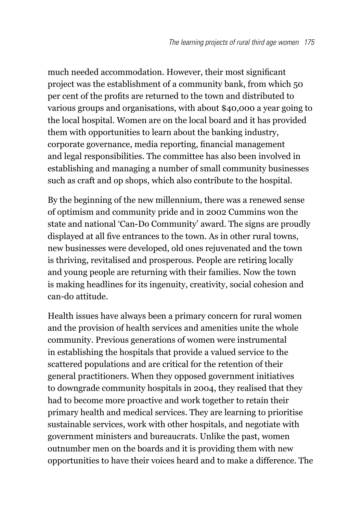much needed accommodation. However, their most significant project was the establishment of a community bank, from which 50 per cent of the profits are returned to the town and distributed to various groups and organisations, with about \$40,000 a year going to the local hospital. Women are on the local board and it has provided them with opportunities to learn about the banking industry, corporate governance, media reporting, financial management and legal responsibilities. The committee has also been involved in establishing and managing a number of small community businesses such as craft and op shops, which also contribute to the hospital.

By the beginning of the new millennium, there was a renewed sense of optimism and community pride and in 2002 Cummins won the state and national 'Can-Do Community' award. The signs are proudly displayed at all five entrances to the town. As in other rural towns, new businesses were developed, old ones rejuvenated and the town is thriving, revitalised and prosperous. People are retiring locally and young people are returning with their families. Now the town is making headlines for its ingenuity, creativity, social cohesion and can-do attitude.

Health issues have always been a primary concern for rural women and the provision of health services and amenities unite the whole community. Previous generations of women were instrumental in establishing the hospitals that provide a valued service to the scattered populations and are critical for the retention of their general practitioners. When they opposed government initiatives to downgrade community hospitals in 2004, they realised that they had to become more proactive and work together to retain their primary health and medical services. They are learning to prioritise sustainable services, work with other hospitals, and negotiate with government ministers and bureaucrats. Unlike the past, women outnumber men on the boards and it is providing them with new opportunities to have their voices heard and to make a difference. The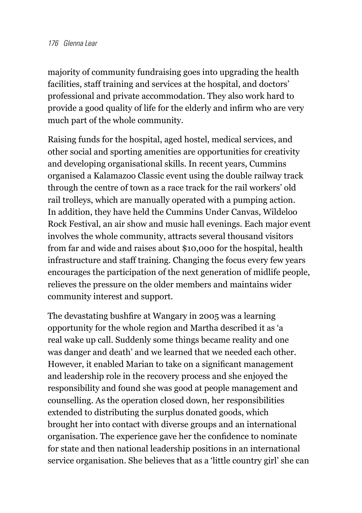majority of community fundraising goes into upgrading the health facilities, staff training and services at the hospital, and doctors' professional and private accommodation. They also work hard to provide a good quality of life for the elderly and infirm who are very much part of the whole community.

Raising funds for the hospital, aged hostel, medical services, and other social and sporting amenities are opportunities for creativity and developing organisational skills. In recent years, Cummins organised a Kalamazoo Classic event using the double railway track through the centre of town as a race track for the rail workers' old rail trolleys, which are manually operated with a pumping action. In addition, they have held the Cummins Under Canvas, Wildeloo Rock Festival, an air show and music hall evenings. Each major event involves the whole community, attracts several thousand visitors from far and wide and raises about \$10,000 for the hospital, health infrastructure and staff training. Changing the focus every few years encourages the participation of the next generation of midlife people, relieves the pressure on the older members and maintains wider community interest and support.

The devastating bushfire at Wangary in 2005 was a learning opportunity for the whole region and Martha described it as 'a real wake up call. Suddenly some things became reality and one was danger and death' and we learned that we needed each other. However, it enabled Marian to take on a significant management and leadership role in the recovery process and she enjoyed the responsibility and found she was good at people management and counselling. As the operation closed down, her responsibilities extended to distributing the surplus donated goods, which brought her into contact with diverse groups and an international organisation. The experience gave her the confidence to nominate for state and then national leadership positions in an international service organisation. She believes that as a 'little country girl' she can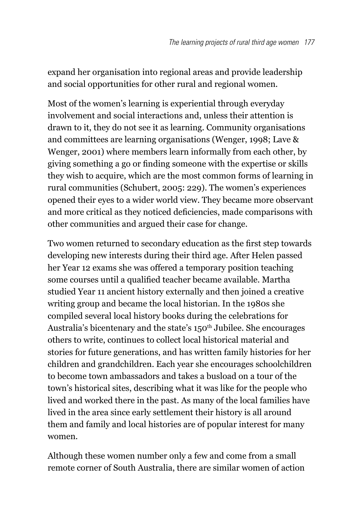expand her organisation into regional areas and provide leadership and social opportunities for other rural and regional women.

Most of the women's learning is experiential through everyday involvement and social interactions and, unless their attention is drawn to it, they do not see it as learning. Community organisations and committees are learning organisations (Wenger, 1998; Lave & Wenger, 2001) where members learn informally from each other, by giving something a go or finding someone with the expertise or skills they wish to acquire, which are the most common forms of learning in rural communities (Schubert, 2005: 229). The women's experiences opened their eyes to a wider world view. They became more observant and more critical as they noticed deficiencies, made comparisons with other communities and argued their case for change.

Two women returned to secondary education as the first step towards developing new interests during their third age. After Helen passed her Year 12 exams she was offered a temporary position teaching some courses until a qualified teacher became available. Martha studied Year 11 ancient history externally and then joined a creative writing group and became the local historian. In the 1980s she compiled several local history books during the celebrations for Australia's bicentenary and the state's 150<sup>th</sup> Jubilee. She encourages others to write, continues to collect local historical material and stories for future generations, and has written family histories for her children and grandchildren. Each year she encourages schoolchildren to become town ambassadors and takes a busload on a tour of the town's historical sites, describing what it was like for the people who lived and worked there in the past. As many of the local families have lived in the area since early settlement their history is all around them and family and local histories are of popular interest for many women.

Although these women number only a few and come from a small remote corner of South Australia, there are similar women of action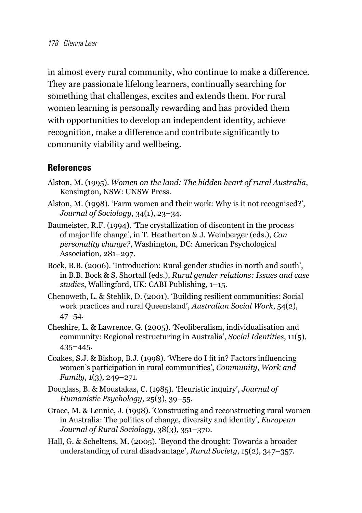in almost every rural community, who continue to make a difference. They are passionate lifelong learners, continually searching for something that challenges, excites and extends them. For rural women learning is personally rewarding and has provided them with opportunities to develop an independent identity, achieve recognition, make a difference and contribute significantly to community viability and wellbeing.

## **References**

- Alston, M. (1995). *Women on the land: The hidden heart of rural Australia*, Kensington, NSW: UNSW Press.
- Alston, M. (1998). 'Farm women and their work: Why is it not recognised?', *Journal of Sociology*, 34(1), 23–34.
- Baumeister, R.F. (1994). 'The crystallization of discontent in the process of major life change', in T. Heatherton & J. Weinberger (eds.), *Can personality change?*, Washington, DC: American Psychological Association, 281–297.
- Bock, B.B. (2006). 'Introduction: Rural gender studies in north and south', in B.B. Bock & S. Shortall (eds.), *Rural gender relations: Issues and case studies*, Wallingford, UK: CABI Publishing, 1–15.
- Chenoweth, L. & Stehlik, D. (2001). 'Building resilient communities: Social work practices and rural Queensland', *Australian Social Work*, 54(2), 47–54.
- Cheshire, L. & Lawrence, G. (2005). 'Neoliberalism, individualisation and community: Regional restructuring in Australia', *Social Identities*, 11(5), 435–445.
- Coakes, S.J. & Bishop, B.J. (1998). 'Where do I fit in? Factors influencing women's participation in rural communities', *Community, Work and Family*, 1(3), 249–271.
- Douglass, B. & Moustakas, C. (1985). 'Heuristic inquiry', *Journal of Humanistic Psychology*, 25(3), 39–55.
- Grace, M. & Lennie, J. (1998). 'Constructing and reconstructing rural women in Australia: The politics of change, diversity and identity', *European Journal of Rural Sociology*, 38(3), 351–370.
- Hall, G. & Scheltens, M. (2005). 'Beyond the drought: Towards a broader understanding of rural disadvantage', *Rural Society*, 15(2), 347–357.